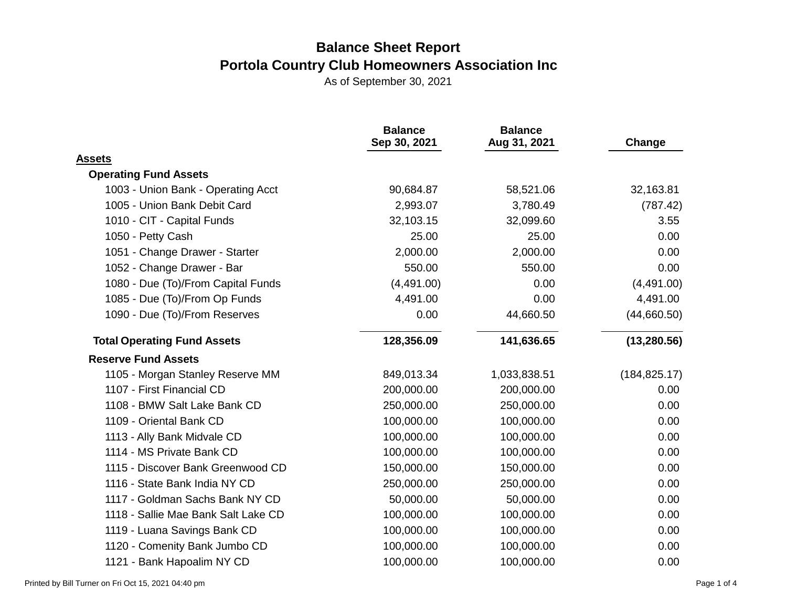|                                     | <b>Balance</b><br>Sep 30, 2021 | <b>Balance</b><br>Aug 31, 2021 | Change        |
|-------------------------------------|--------------------------------|--------------------------------|---------------|
| <b>Assets</b>                       |                                |                                |               |
| <b>Operating Fund Assets</b>        |                                |                                |               |
| 1003 - Union Bank - Operating Acct  | 90,684.87                      | 58,521.06                      | 32,163.81     |
| 1005 - Union Bank Debit Card        | 2,993.07                       | 3,780.49                       | (787.42)      |
| 1010 - CIT - Capital Funds          | 32,103.15                      | 32,099.60                      | 3.55          |
| 1050 - Petty Cash                   | 25.00                          | 25.00                          | 0.00          |
| 1051 - Change Drawer - Starter      | 2,000.00                       | 2,000.00                       | 0.00          |
| 1052 - Change Drawer - Bar          | 550.00                         | 550.00                         | 0.00          |
| 1080 - Due (To)/From Capital Funds  | (4,491.00)                     | 0.00                           | (4,491.00)    |
| 1085 - Due (To)/From Op Funds       | 4,491.00                       | 0.00                           | 4,491.00      |
| 1090 - Due (To)/From Reserves       | 0.00                           | 44,660.50                      | (44,660.50)   |
| <b>Total Operating Fund Assets</b>  | 128,356.09                     | 141,636.65                     | (13, 280.56)  |
| <b>Reserve Fund Assets</b>          |                                |                                |               |
| 1105 - Morgan Stanley Reserve MM    | 849,013.34                     | 1,033,838.51                   | (184, 825.17) |
| 1107 - First Financial CD           | 200,000.00                     | 200,000.00                     | 0.00          |
| 1108 - BMW Salt Lake Bank CD        | 250,000.00                     | 250,000.00                     | 0.00          |
| 1109 - Oriental Bank CD             | 100,000.00                     | 100,000.00                     | 0.00          |
| 1113 - Ally Bank Midvale CD         | 100,000.00                     | 100,000.00                     | 0.00          |
| 1114 - MS Private Bank CD           | 100,000.00                     | 100,000.00                     | 0.00          |
| 1115 - Discover Bank Greenwood CD   | 150,000.00                     | 150,000.00                     | 0.00          |
| 1116 - State Bank India NY CD       | 250,000.00                     | 250,000.00                     | 0.00          |
| 1117 - Goldman Sachs Bank NY CD     | 50,000.00                      | 50,000.00                      | 0.00          |
| 1118 - Sallie Mae Bank Salt Lake CD | 100,000.00                     | 100,000.00                     | 0.00          |
| 1119 - Luana Savings Bank CD        | 100,000.00                     | 100,000.00                     | 0.00          |
| 1120 - Comenity Bank Jumbo CD       | 100,000.00                     | 100,000.00                     | 0.00          |
| 1121 - Bank Hapoalim NY CD          | 100,000.00                     | 100,000.00                     | 0.00          |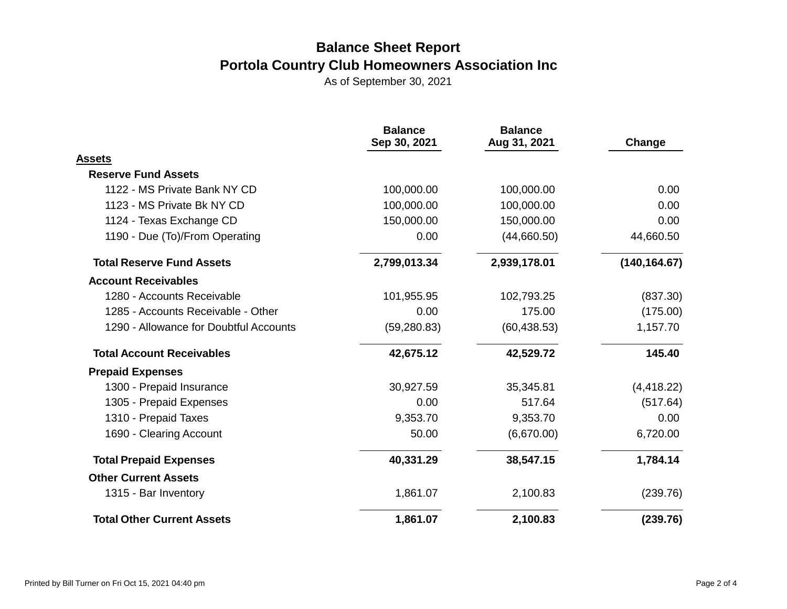|                                        | <b>Balance</b><br>Sep 30, 2021 | <b>Balance</b><br>Aug 31, 2021 | Change        |  |
|----------------------------------------|--------------------------------|--------------------------------|---------------|--|
| <b>Assets</b>                          |                                |                                |               |  |
| <b>Reserve Fund Assets</b>             |                                |                                |               |  |
| 1122 - MS Private Bank NY CD           | 100,000.00                     | 100,000.00                     | 0.00          |  |
| 1123 - MS Private Bk NY CD             | 100,000.00                     | 100,000.00                     | 0.00          |  |
| 1124 - Texas Exchange CD               | 150,000.00                     | 150,000.00                     | 0.00          |  |
| 1190 - Due (To)/From Operating         | 0.00                           | (44,660.50)                    | 44,660.50     |  |
| <b>Total Reserve Fund Assets</b>       | 2,799,013.34                   | 2,939,178.01                   | (140, 164.67) |  |
| <b>Account Receivables</b>             |                                |                                |               |  |
| 1280 - Accounts Receivable             | 101,955.95                     | 102,793.25                     | (837.30)      |  |
| 1285 - Accounts Receivable - Other     | 0.00                           | 175.00                         | (175.00)      |  |
| 1290 - Allowance for Doubtful Accounts | (59, 280.83)                   | (60, 438.53)                   | 1,157.70      |  |
| <b>Total Account Receivables</b>       | 42,675.12                      | 42,529.72                      | 145.40        |  |
| <b>Prepaid Expenses</b>                |                                |                                |               |  |
| 1300 - Prepaid Insurance               | 30,927.59                      | 35,345.81                      | (4, 418.22)   |  |
| 1305 - Prepaid Expenses                | 0.00                           | 517.64                         | (517.64)      |  |
| 1310 - Prepaid Taxes                   | 9,353.70                       | 9,353.70                       | 0.00          |  |
| 1690 - Clearing Account                | 50.00                          | (6,670.00)                     | 6,720.00      |  |
| <b>Total Prepaid Expenses</b>          | 40,331.29                      | 38,547.15                      | 1,784.14      |  |
| <b>Other Current Assets</b>            |                                |                                |               |  |
| 1315 - Bar Inventory                   | 1,861.07                       | 2,100.83                       | (239.76)      |  |
| <b>Total Other Current Assets</b>      | 1,861.07                       | 2,100.83                       | (239.76)      |  |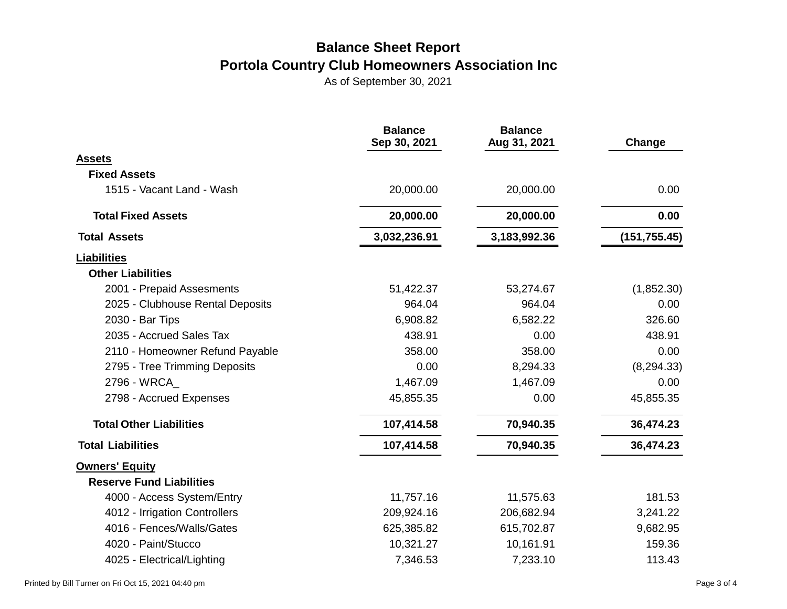|                                  | <b>Balance</b><br>Sep 30, 2021 | <b>Balance</b><br>Aug 31, 2021 | Change        |
|----------------------------------|--------------------------------|--------------------------------|---------------|
| <b>Assets</b>                    |                                |                                |               |
| <b>Fixed Assets</b>              |                                |                                |               |
| 1515 - Vacant Land - Wash        | 20,000.00                      | 20,000.00                      | 0.00          |
| <b>Total Fixed Assets</b>        | 20,000.00                      | 20,000.00                      | 0.00          |
| <b>Total Assets</b>              | 3,032,236.91                   | 3,183,992.36                   | (151, 755.45) |
| <b>Liabilities</b>               |                                |                                |               |
| <b>Other Liabilities</b>         |                                |                                |               |
| 2001 - Prepaid Assesments        | 51,422.37                      | 53,274.67                      | (1,852.30)    |
| 2025 - Clubhouse Rental Deposits | 964.04                         | 964.04                         | 0.00          |
| 2030 - Bar Tips                  | 6,908.82                       | 6,582.22                       | 326.60        |
| 2035 - Accrued Sales Tax         | 438.91                         | 0.00                           | 438.91        |
| 2110 - Homeowner Refund Payable  | 358.00                         | 358.00                         | 0.00          |
| 2795 - Tree Trimming Deposits    | 0.00                           | 8,294.33                       | (8, 294.33)   |
| 2796 - WRCA                      | 1,467.09                       | 1,467.09                       | 0.00          |
| 2798 - Accrued Expenses          | 45,855.35                      | 0.00                           | 45,855.35     |
| <b>Total Other Liabilities</b>   | 107,414.58                     | 70,940.35                      | 36,474.23     |
| <b>Total Liabilities</b>         | 107,414.58                     | 70,940.35                      | 36,474.23     |
| <b>Owners' Equity</b>            |                                |                                |               |
| <b>Reserve Fund Liabilities</b>  |                                |                                |               |
| 4000 - Access System/Entry       | 11,757.16                      | 11,575.63                      | 181.53        |
| 4012 - Irrigation Controllers    | 209,924.16                     | 206,682.94                     | 3,241.22      |
| 4016 - Fences/Walls/Gates        | 625,385.82                     | 615,702.87                     | 9,682.95      |
| 4020 - Paint/Stucco              | 10,321.27                      | 10,161.91                      | 159.36        |
| 4025 - Electrical/Lighting       | 7,346.53                       | 7,233.10                       | 113.43        |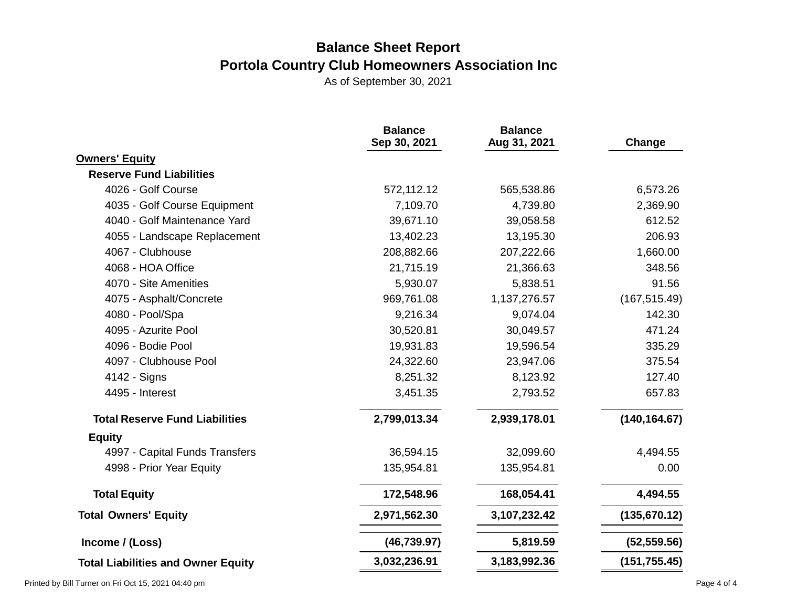|                                           | <b>Balance</b><br>Sep 30, 2021 | <b>Balance</b><br>Aug 31, 2021 | Change        |
|-------------------------------------------|--------------------------------|--------------------------------|---------------|
| <b>Owners' Equity</b>                     |                                |                                |               |
| <b>Reserve Fund Liabilities</b>           |                                |                                |               |
| 4026 - Golf Course                        | 572,112.12                     | 565,538.86                     | 6,573.26      |
| 4035 - Golf Course Equipment              | 7,109.70                       | 4,739.80                       | 2,369.90      |
| 4040 - Golf Maintenance Yard              | 39,671.10                      | 39,058.58                      | 612.52        |
| 4055 - Landscape Replacement              | 13,402.23                      | 13,195.30                      | 206.93        |
| 4067 - Clubhouse                          | 208,882.66                     | 207,222.66                     | 1,660.00      |
| 4068 - HOA Office                         | 21,715.19                      | 21,366.63                      | 348.56        |
| 4070 - Site Amenities                     | 5,930.07                       | 5,838.51                       | 91.56         |
| 4075 - Asphalt/Concrete                   | 969,761.08                     | 1,137,276.57                   | (167, 515.49) |
| 4080 - Pool/Spa                           | 9,216.34                       | 9,074.04                       | 142.30        |
| 4095 - Azurite Pool                       | 30,520.81                      | 30,049.57                      | 471.24        |
| 4096 - Bodie Pool                         | 19,931.83                      | 19,596.54                      | 335.29        |
| 4097 - Clubhouse Pool                     | 24,322.60                      | 23,947.06                      | 375.54        |
| 4142 - Signs                              | 8,251.32                       | 8,123.92                       | 127.40        |
| 4495 - Interest                           | 3,451.35                       | 2,793.52                       | 657.83        |
| <b>Total Reserve Fund Liabilities</b>     | 2,799,013.34                   | 2,939,178.01                   | (140, 164.67) |
| <b>Equity</b>                             |                                |                                |               |
| 4997 - Capital Funds Transfers            | 36,594.15                      | 32,099.60                      | 4,494.55      |
| 4998 - Prior Year Equity                  | 135,954.81                     | 135,954.81                     | 0.00          |
| <b>Total Equity</b>                       | 172,548.96                     | 168,054.41                     | 4,494.55      |
| <b>Total Owners' Equity</b>               | 2,971,562.30                   | 3,107,232.42                   | (135, 670.12) |
| Income / (Loss)                           | (46, 739.97)                   | 5,819.59                       | (52, 559.56)  |
| <b>Total Liabilities and Owner Equity</b> | 3,032,236.91                   | 3,183,992.36                   | (151, 755.45) |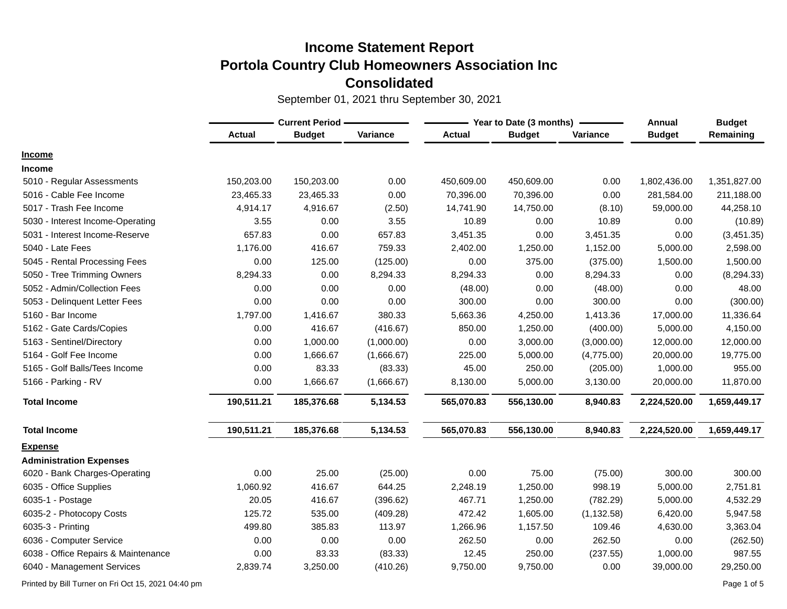September 01, 2021 thru September 30, 2021

|                                     | <b>Current Period -</b> |               |            | Year to Date (3 months) | Annual        | <b>Budget</b> |               |              |
|-------------------------------------|-------------------------|---------------|------------|-------------------------|---------------|---------------|---------------|--------------|
|                                     | <b>Actual</b>           | <b>Budget</b> | Variance   | <b>Actual</b>           | <b>Budget</b> | Variance      | <b>Budget</b> | Remaining    |
| <b>Income</b>                       |                         |               |            |                         |               |               |               |              |
| <b>Income</b>                       |                         |               |            |                         |               |               |               |              |
| 5010 - Regular Assessments          | 150,203.00              | 150,203.00    | 0.00       | 450,609.00              | 450,609.00    | 0.00          | 1,802,436.00  | 1,351,827.00 |
| 5016 - Cable Fee Income             | 23,465.33               | 23,465.33     | 0.00       | 70,396.00               | 70,396.00     | 0.00          | 281,584.00    | 211,188.00   |
| 5017 - Trash Fee Income             | 4,914.17                | 4,916.67      | (2.50)     | 14,741.90               | 14,750.00     | (8.10)        | 59,000.00     | 44,258.10    |
| 5030 - Interest Income-Operating    | 3.55                    | 0.00          | 3.55       | 10.89                   | 0.00          | 10.89         | 0.00          | (10.89)      |
| 5031 - Interest Income-Reserve      | 657.83                  | 0.00          | 657.83     | 3,451.35                | 0.00          | 3,451.35      | 0.00          | (3,451.35)   |
| 5040 - Late Fees                    | 1,176.00                | 416.67        | 759.33     | 2,402.00                | 1,250.00      | 1,152.00      | 5,000.00      | 2,598.00     |
| 5045 - Rental Processing Fees       | 0.00                    | 125.00        | (125.00)   | 0.00                    | 375.00        | (375.00)      | 1,500.00      | 1,500.00     |
| 5050 - Tree Trimming Owners         | 8,294.33                | 0.00          | 8,294.33   | 8,294.33                | 0.00          | 8,294.33      | 0.00          | (8, 294.33)  |
| 5052 - Admin/Collection Fees        | 0.00                    | 0.00          | 0.00       | (48.00)                 | 0.00          | (48.00)       | 0.00          | 48.00        |
| 5053 - Delinquent Letter Fees       | 0.00                    | 0.00          | 0.00       | 300.00                  | 0.00          | 300.00        | 0.00          | (300.00)     |
| 5160 - Bar Income                   | 1,797.00                | 1,416.67      | 380.33     | 5,663.36                | 4,250.00      | 1,413.36      | 17,000.00     | 11,336.64    |
| 5162 - Gate Cards/Copies            | 0.00                    | 416.67        | (416.67)   | 850.00                  | 1,250.00      | (400.00)      | 5,000.00      | 4,150.00     |
| 5163 - Sentinel/Directory           | 0.00                    | 1,000.00      | (1,000.00) | 0.00                    | 3,000.00      | (3,000.00)    | 12,000.00     | 12,000.00    |
| 5164 - Golf Fee Income              | 0.00                    | 1,666.67      | (1,666.67) | 225.00                  | 5,000.00      | (4,775.00)    | 20,000.00     | 19,775.00    |
| 5165 - Golf Balls/Tees Income       | 0.00                    | 83.33         | (83.33)    | 45.00                   | 250.00        | (205.00)      | 1,000.00      | 955.00       |
| 5166 - Parking - RV                 | 0.00                    | 1,666.67      | (1,666.67) | 8,130.00                | 5,000.00      | 3,130.00      | 20,000.00     | 11,870.00    |
| <b>Total Income</b>                 | 190,511.21              | 185,376.68    | 5,134.53   | 565,070.83              | 556,130.00    | 8,940.83      | 2,224,520.00  | 1,659,449.17 |
| <b>Total Income</b>                 | 190,511.21              | 185,376.68    | 5,134.53   | 565,070.83              | 556,130.00    | 8,940.83      | 2,224,520.00  | 1,659,449.17 |
| <b>Expense</b>                      |                         |               |            |                         |               |               |               |              |
| <b>Administration Expenses</b>      |                         |               |            |                         |               |               |               |              |
| 6020 - Bank Charges-Operating       | 0.00                    | 25.00         | (25.00)    | 0.00                    | 75.00         | (75.00)       | 300.00        | 300.00       |
| 6035 - Office Supplies              | 1,060.92                | 416.67        | 644.25     | 2,248.19                | 1,250.00      | 998.19        | 5,000.00      | 2,751.81     |
| 6035-1 - Postage                    | 20.05                   | 416.67        | (396.62)   | 467.71                  | 1,250.00      | (782.29)      | 5,000.00      | 4,532.29     |
| 6035-2 - Photocopy Costs            | 125.72                  | 535.00        | (409.28)   | 472.42                  | 1,605.00      | (1, 132.58)   | 6,420.00      | 5,947.58     |
| 6035-3 - Printing                   | 499.80                  | 385.83        | 113.97     | 1,266.96                | 1,157.50      | 109.46        | 4,630.00      | 3,363.04     |
| 6036 - Computer Service             | 0.00                    | 0.00          | 0.00       | 262.50                  | 0.00          | 262.50        | 0.00          | (262.50)     |
| 6038 - Office Repairs & Maintenance | 0.00                    | 83.33         | (83.33)    | 12.45                   | 250.00        | (237.55)      | 1,000.00      | 987.55       |
| 6040 - Management Services          | 2,839.74                | 3,250.00      | (410.26)   | 9,750.00                | 9,750.00      | 0.00          | 39,000.00     | 29,250.00    |

Printed by Bill Turner on Fri Oct 15, 2021 04:40 pm Page 1 of 5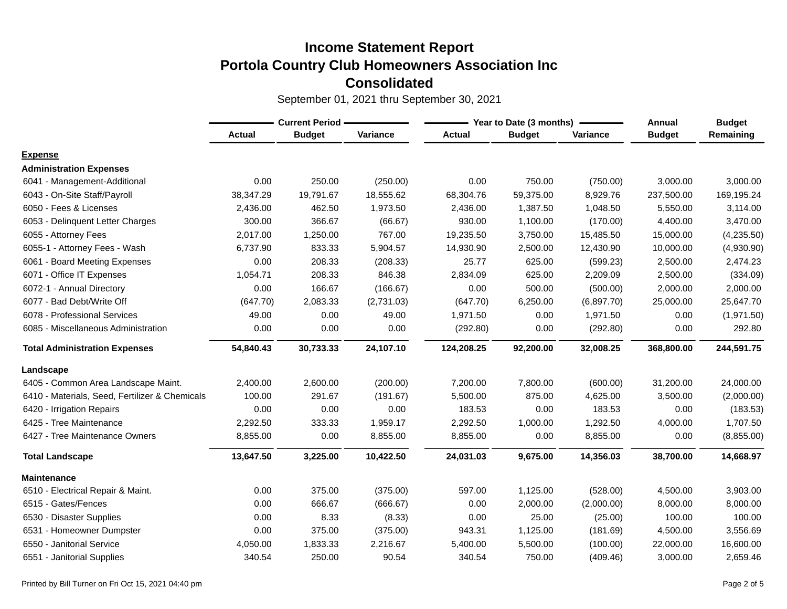|                                                | <b>Current Period -</b> |               |            |               | Year to Date (3 months) | Annual     | <b>Budget</b> |            |
|------------------------------------------------|-------------------------|---------------|------------|---------------|-------------------------|------------|---------------|------------|
|                                                | <b>Actual</b>           | <b>Budget</b> | Variance   | <b>Actual</b> | <b>Budget</b>           | Variance   | <b>Budget</b> | Remaining  |
| <b>Expense</b>                                 |                         |               |            |               |                         |            |               |            |
| <b>Administration Expenses</b>                 |                         |               |            |               |                         |            |               |            |
| 6041 - Management-Additional                   | 0.00                    | 250.00        | (250.00)   | 0.00          | 750.00                  | (750.00)   | 3,000.00      | 3,000.00   |
| 6043 - On-Site Staff/Payroll                   | 38,347.29               | 19,791.67     | 18,555.62  | 68,304.76     | 59,375.00               | 8,929.76   | 237,500.00    | 169,195.24 |
| 6050 - Fees & Licenses                         | 2,436.00                | 462.50        | 1,973.50   | 2,436.00      | 1,387.50                | 1,048.50   | 5,550.00      | 3,114.00   |
| 6053 - Delinquent Letter Charges               | 300.00                  | 366.67        | (66.67)    | 930.00        | 1,100.00                | (170.00)   | 4,400.00      | 3,470.00   |
| 6055 - Attorney Fees                           | 2,017.00                | 1,250.00      | 767.00     | 19,235.50     | 3,750.00                | 15,485.50  | 15,000.00     | (4,235.50) |
| 6055-1 - Attorney Fees - Wash                  | 6,737.90                | 833.33        | 5,904.57   | 14,930.90     | 2,500.00                | 12,430.90  | 10,000.00     | (4,930.90) |
| 6061 - Board Meeting Expenses                  | 0.00                    | 208.33        | (208.33)   | 25.77         | 625.00                  | (599.23)   | 2,500.00      | 2,474.23   |
| 6071 - Office IT Expenses                      | 1,054.71                | 208.33        | 846.38     | 2,834.09      | 625.00                  | 2,209.09   | 2,500.00      | (334.09)   |
| 6072-1 - Annual Directory                      | 0.00                    | 166.67        | (166.67)   | 0.00          | 500.00                  | (500.00)   | 2,000.00      | 2,000.00   |
| 6077 - Bad Debt/Write Off                      | (647.70)                | 2,083.33      | (2,731.03) | (647.70)      | 6,250.00                | (6,897.70) | 25,000.00     | 25,647.70  |
| 6078 - Professional Services                   | 49.00                   | 0.00          | 49.00      | 1,971.50      | 0.00                    | 1,971.50   | 0.00          | (1,971.50) |
| 6085 - Miscellaneous Administration            | 0.00                    | 0.00          | 0.00       | (292.80)      | 0.00                    | (292.80)   | 0.00          | 292.80     |
| <b>Total Administration Expenses</b>           | 54,840.43               | 30,733.33     | 24,107.10  | 124,208.25    | 92,200.00               | 32,008.25  | 368,800.00    | 244,591.75 |
| Landscape                                      |                         |               |            |               |                         |            |               |            |
| 6405 - Common Area Landscape Maint.            | 2,400.00                | 2,600.00      | (200.00)   | 7,200.00      | 7,800.00                | (600.00)   | 31,200.00     | 24,000.00  |
| 6410 - Materials, Seed, Fertilizer & Chemicals | 100.00                  | 291.67        | (191.67)   | 5,500.00      | 875.00                  | 4,625.00   | 3,500.00      | (2,000.00) |
| 6420 - Irrigation Repairs                      | 0.00                    | 0.00          | 0.00       | 183.53        | 0.00                    | 183.53     | 0.00          | (183.53)   |
| 6425 - Tree Maintenance                        | 2,292.50                | 333.33        | 1,959.17   | 2,292.50      | 1,000.00                | 1,292.50   | 4,000.00      | 1,707.50   |
| 6427 - Tree Maintenance Owners                 | 8,855.00                | 0.00          | 8,855.00   | 8,855.00      | 0.00                    | 8,855.00   | 0.00          | (8,855.00) |
| <b>Total Landscape</b>                         | 13,647.50               | 3,225.00      | 10,422.50  | 24,031.03     | 9,675.00                | 14,356.03  | 38,700.00     | 14,668.97  |
| <b>Maintenance</b>                             |                         |               |            |               |                         |            |               |            |
| 6510 - Electrical Repair & Maint.              | 0.00                    | 375.00        | (375.00)   | 597.00        | 1,125.00                | (528.00)   | 4,500.00      | 3,903.00   |
| 6515 - Gates/Fences                            | 0.00                    | 666.67        | (666.67)   | 0.00          | 2,000.00                | (2,000.00) | 8,000.00      | 8,000.00   |
| 6530 - Disaster Supplies                       | 0.00                    | 8.33          | (8.33)     | 0.00          | 25.00                   | (25.00)    | 100.00        | 100.00     |
| 6531 - Homeowner Dumpster                      | 0.00                    | 375.00        | (375.00)   | 943.31        | 1,125.00                | (181.69)   | 4,500.00      | 3,556.69   |
| 6550 - Janitorial Service                      | 4,050.00                | 1,833.33      | 2,216.67   | 5,400.00      | 5,500.00                | (100.00)   | 22,000.00     | 16,600.00  |
| 6551 - Janitorial Supplies                     | 340.54                  | 250.00        | 90.54      | 340.54        | 750.00                  | (409.46)   | 3,000.00      | 2,659.46   |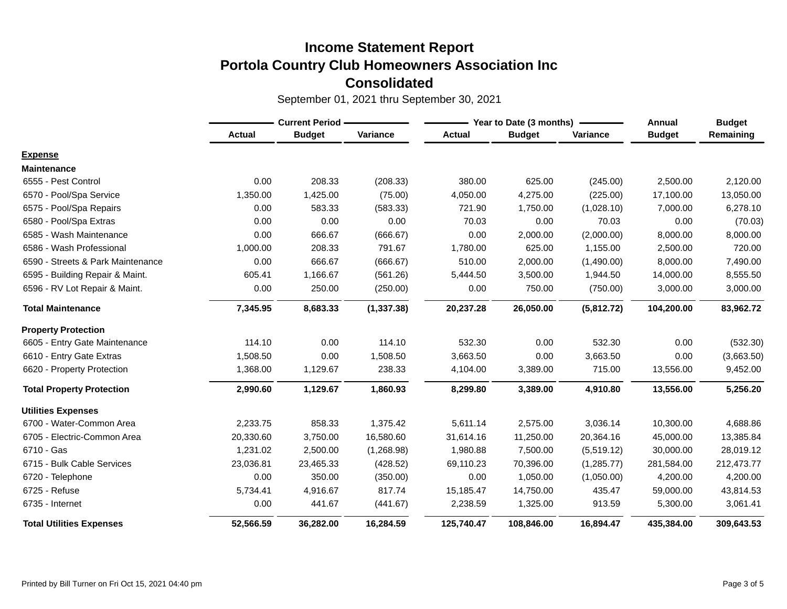|                                   | <b>Current Period -</b> |               |             | Year to Date (3 months) | Annual        | <b>Budget</b> |               |            |
|-----------------------------------|-------------------------|---------------|-------------|-------------------------|---------------|---------------|---------------|------------|
|                                   | <b>Actual</b>           | <b>Budget</b> | Variance    | <b>Actual</b>           | <b>Budget</b> | Variance      | <b>Budget</b> | Remaining  |
| <b>Expense</b>                    |                         |               |             |                         |               |               |               |            |
| <b>Maintenance</b>                |                         |               |             |                         |               |               |               |            |
| 6555 - Pest Control               | 0.00                    | 208.33        | (208.33)    | 380.00                  | 625.00        | (245.00)      | 2,500.00      | 2,120.00   |
| 6570 - Pool/Spa Service           | 1,350.00                | 1,425.00      | (75.00)     | 4,050.00                | 4,275.00      | (225.00)      | 17,100.00     | 13,050.00  |
| 6575 - Pool/Spa Repairs           | 0.00                    | 583.33        | (583.33)    | 721.90                  | 1,750.00      | (1,028.10)    | 7,000.00      | 6,278.10   |
| 6580 - Pool/Spa Extras            | 0.00                    | 0.00          | 0.00        | 70.03                   | 0.00          | 70.03         | 0.00          | (70.03)    |
| 6585 - Wash Maintenance           | 0.00                    | 666.67        | (666.67)    | 0.00                    | 2,000.00      | (2,000.00)    | 8,000.00      | 8,000.00   |
| 6586 - Wash Professional          | 1,000.00                | 208.33        | 791.67      | 1,780.00                | 625.00        | 1,155.00      | 2,500.00      | 720.00     |
| 6590 - Streets & Park Maintenance | 0.00                    | 666.67        | (666.67)    | 510.00                  | 2,000.00      | (1,490.00)    | 8,000.00      | 7,490.00   |
| 6595 - Building Repair & Maint.   | 605.41                  | 1,166.67      | (561.26)    | 5,444.50                | 3,500.00      | 1,944.50      | 14,000.00     | 8,555.50   |
| 6596 - RV Lot Repair & Maint.     | 0.00                    | 250.00        | (250.00)    | 0.00                    | 750.00        | (750.00)      | 3,000.00      | 3,000.00   |
| <b>Total Maintenance</b>          | 7,345.95                | 8,683.33      | (1, 337.38) | 20,237.28               | 26,050.00     | (5,812.72)    | 104,200.00    | 83,962.72  |
| <b>Property Protection</b>        |                         |               |             |                         |               |               |               |            |
| 6605 - Entry Gate Maintenance     | 114.10                  | 0.00          | 114.10      | 532.30                  | 0.00          | 532.30        | 0.00          | (532.30)   |
| 6610 - Entry Gate Extras          | 1,508.50                | 0.00          | 1,508.50    | 3,663.50                | 0.00          | 3,663.50      | 0.00          | (3,663.50) |
| 6620 - Property Protection        | 1,368.00                | 1,129.67      | 238.33      | 4,104.00                | 3,389.00      | 715.00        | 13,556.00     | 9,452.00   |
| <b>Total Property Protection</b>  | 2,990.60                | 1,129.67      | 1,860.93    | 8,299.80                | 3,389.00      | 4,910.80      | 13,556.00     | 5,256.20   |
| <b>Utilities Expenses</b>         |                         |               |             |                         |               |               |               |            |
| 6700 - Water-Common Area          | 2,233.75                | 858.33        | 1,375.42    | 5,611.14                | 2,575.00      | 3,036.14      | 10,300.00     | 4,688.86   |
| 6705 - Electric-Common Area       | 20,330.60               | 3,750.00      | 16,580.60   | 31,614.16               | 11,250.00     | 20,364.16     | 45,000.00     | 13,385.84  |
| 6710 - Gas                        | 1,231.02                | 2,500.00      | (1,268.98)  | 1,980.88                | 7,500.00      | (5,519.12)    | 30,000.00     | 28,019.12  |
| 6715 - Bulk Cable Services        | 23,036.81               | 23,465.33     | (428.52)    | 69,110.23               | 70,396.00     | (1,285.77)    | 281,584.00    | 212,473.77 |
| 6720 - Telephone                  | 0.00                    | 350.00        | (350.00)    | 0.00                    | 1,050.00      | (1,050.00)    | 4,200.00      | 4,200.00   |
| 6725 - Refuse                     | 5,734.41                | 4,916.67      | 817.74      | 15,185.47               | 14,750.00     | 435.47        | 59,000.00     | 43,814.53  |
| 6735 - Internet                   | 0.00                    | 441.67        | (441.67)    | 2,238.59                | 1,325.00      | 913.59        | 5,300.00      | 3,061.41   |
| <b>Total Utilities Expenses</b>   | 52,566.59               | 36,282.00     | 16,284.59   | 125,740.47              | 108,846.00    | 16,894.47     | 435,384.00    | 309,643.53 |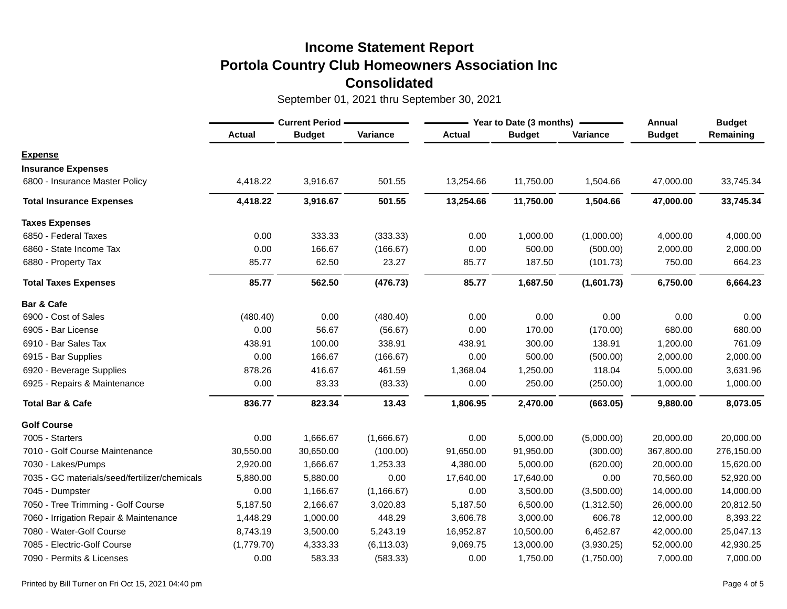|                                               | <b>Current Period -</b> |               |             | Year to Date (3 months) | Annual        | <b>Budget</b> |               |            |
|-----------------------------------------------|-------------------------|---------------|-------------|-------------------------|---------------|---------------|---------------|------------|
|                                               | <b>Actual</b>           | <b>Budget</b> | Variance    | <b>Actual</b>           | <b>Budget</b> | Variance      | <b>Budget</b> | Remaining  |
| <b>Expense</b>                                |                         |               |             |                         |               |               |               |            |
| <b>Insurance Expenses</b>                     |                         |               |             |                         |               |               |               |            |
| 6800 - Insurance Master Policy                | 4,418.22                | 3,916.67      | 501.55      | 13,254.66               | 11,750.00     | 1,504.66      | 47,000.00     | 33,745.34  |
| <b>Total Insurance Expenses</b>               | 4,418.22                | 3,916.67      | 501.55      | 13,254.66               | 11,750.00     | 1,504.66      | 47,000.00     | 33,745.34  |
| <b>Taxes Expenses</b>                         |                         |               |             |                         |               |               |               |            |
| 6850 - Federal Taxes                          | 0.00                    | 333.33        | (333.33)    | 0.00                    | 1,000.00      | (1,000.00)    | 4,000.00      | 4,000.00   |
| 6860 - State Income Tax                       | 0.00                    | 166.67        | (166.67)    | 0.00                    | 500.00        | (500.00)      | 2,000.00      | 2,000.00   |
| 6880 - Property Tax                           | 85.77                   | 62.50         | 23.27       | 85.77                   | 187.50        | (101.73)      | 750.00        | 664.23     |
| <b>Total Taxes Expenses</b>                   | 85.77                   | 562.50        | (476.73)    | 85.77                   | 1,687.50      | (1,601.73)    | 6,750.00      | 6,664.23   |
| Bar & Cafe                                    |                         |               |             |                         |               |               |               |            |
| 6900 - Cost of Sales                          | (480.40)                | 0.00          | (480.40)    | 0.00                    | 0.00          | 0.00          | 0.00          | 0.00       |
| 6905 - Bar License                            | 0.00                    | 56.67         | (56.67)     | 0.00                    | 170.00        | (170.00)      | 680.00        | 680.00     |
| 6910 - Bar Sales Tax                          | 438.91                  | 100.00        | 338.91      | 438.91                  | 300.00        | 138.91        | 1,200.00      | 761.09     |
| 6915 - Bar Supplies                           | 0.00                    | 166.67        | (166.67)    | 0.00                    | 500.00        | (500.00)      | 2,000.00      | 2,000.00   |
| 6920 - Beverage Supplies                      | 878.26                  | 416.67        | 461.59      | 1,368.04                | 1,250.00      | 118.04        | 5,000.00      | 3,631.96   |
| 6925 - Repairs & Maintenance                  | 0.00                    | 83.33         | (83.33)     | 0.00                    | 250.00        | (250.00)      | 1,000.00      | 1,000.00   |
| <b>Total Bar &amp; Cafe</b>                   | 836.77                  | 823.34        | 13.43       | 1,806.95                | 2,470.00      | (663.05)      | 9,880.00      | 8,073.05   |
| <b>Golf Course</b>                            |                         |               |             |                         |               |               |               |            |
| 7005 - Starters                               | 0.00                    | 1,666.67      | (1,666.67)  | 0.00                    | 5,000.00      | (5,000.00)    | 20,000.00     | 20,000.00  |
| 7010 - Golf Course Maintenance                | 30,550.00               | 30,650.00     | (100.00)    | 91,650.00               | 91,950.00     | (300.00)      | 367,800.00    | 276,150.00 |
| 7030 - Lakes/Pumps                            | 2,920.00                | 1,666.67      | 1,253.33    | 4,380.00                | 5,000.00      | (620.00)      | 20,000.00     | 15,620.00  |
| 7035 - GC materials/seed/fertilizer/chemicals | 5,880.00                | 5,880.00      | 0.00        | 17,640.00               | 17,640.00     | 0.00          | 70,560.00     | 52,920.00  |
| 7045 - Dumpster                               | 0.00                    | 1,166.67      | (1, 166.67) | 0.00                    | 3,500.00      | (3,500.00)    | 14,000.00     | 14,000.00  |
| 7050 - Tree Trimming - Golf Course            | 5,187.50                | 2,166.67      | 3,020.83    | 5,187.50                | 6,500.00      | (1,312.50)    | 26,000.00     | 20,812.50  |
| 7060 - Irrigation Repair & Maintenance        | 1,448.29                | 1,000.00      | 448.29      | 3,606.78                | 3,000.00      | 606.78        | 12,000.00     | 8,393.22   |
| 7080 - Water-Golf Course                      | 8,743.19                | 3,500.00      | 5,243.19    | 16,952.87               | 10,500.00     | 6,452.87      | 42,000.00     | 25,047.13  |
| 7085 - Electric-Golf Course                   | (1,779.70)              | 4,333.33      | (6, 113.03) | 9,069.75                | 13,000.00     | (3,930.25)    | 52,000.00     | 42,930.25  |
| 7090 - Permits & Licenses                     | 0.00                    | 583.33        | (583.33)    | 0.00                    | 1,750.00      | (1,750.00)    | 7,000.00      | 7,000.00   |